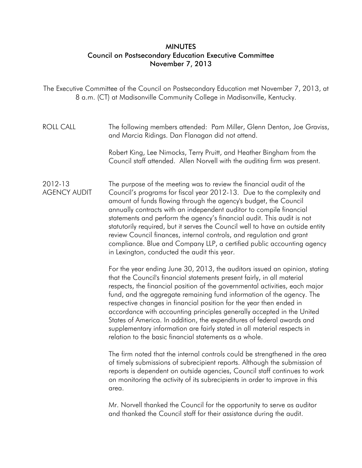## **MINUTES** Council on Postsecondary Education Executive Committee November 7, 2013

The Executive Committee of the Council on Postsecondary Education met November 7, 2013, at 8 a.m. (CT) at Madisonville Community College in Madisonville, Kentucky.

ROLL CALL The following members attended: Pam Miller, Glenn Denton, Joe Graviss, and Marcia Ridings. Dan Flanagan did not attend.

> Robert King, Lee Nimocks, Terry Pruitt, and Heather Bingham from the Council staff attended. Allen Norvell with the auditing firm was present.

2012-13 AGENCY AUDIT The purpose of the meeting was to review the financial audit of the Council's programs for fiscal year 2012-13. Due to the complexity and amount of funds flowing through the agency's budget, the Council annually contracts with an independent auditor to compile financial statements and perform the agency's financial audit. This audit is not statutorily required, but it serves the Council well to have an outside entity review Council finances, internal controls, and regulation and grant compliance. Blue and Company LLP, a certified public accounting agency in Lexington, conducted the audit this year.

> For the year ending June 30, 2013, the auditors issued an opinion, stating that the Council's financial statements present fairly, in all material respects, the financial position of the governmental activities, each major fund, and the aggregate remaining fund information of the agency. The respective changes in financial position for the year then ended in accordance with accounting principles generally accepted in the United States of America. In addition, the expenditures of federal awards and supplementary information are fairly stated in all material respects in relation to the basic financial statements as a whole.

> The firm noted that the internal controls could be strengthened in the area of timely submissions of subrecipient reports. Although the submission of reports is dependent on outside agencies, Council staff continues to work on monitoring the activity of its subrecipients in order to improve in this area.

Mr. Norvell thanked the Council for the opportunity to serve as auditor and thanked the Council staff for their assistance during the audit.